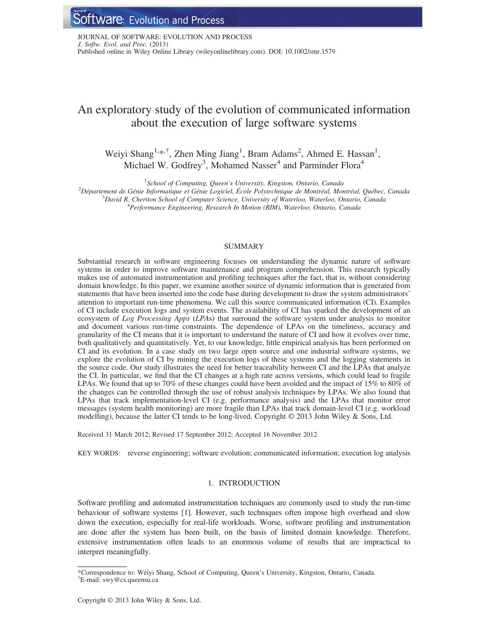# Software: Evolution and Process

JOURNAL OF SOFTWARE: EVOLUTION AND PROCESS J. Softw. Evol. and Proc. (2013) Published online in Wiley Online Library (wileyonlinelibrary.com). DOI: 10.1002/smr.1579

# An exploratory study of the evolution of communicated information about the execution of large software systems

Weiyi Shang<sup>1,\*,†</sup>, Zhen Ming Jiang<sup>1</sup>, Bram Adams<sup>2</sup>, Ahmed E. Hassan<sup>1</sup>, Michael W. Godfrey<sup>3</sup>, Mohamed Nasser<sup>4</sup> and Parminder Flora<sup>4</sup>

 $1$ School of Computing, Queen's University, Kingston, Ontario, Canada School of Computing, Queen's University, Kingston, Ontario, Canada<sup>2</sup><br>2 Département de Génie Informatique et Génie Logiciel, École Polytechnique de Montréal, Mo

Département de Génie Informatique et Génie Logiciel, École Polytechnique de Montréal, Montréal, Québec, Canada<br><sup>3</sup> David R. Cheriton School of Computer Science, University of Waterloo, Waterloo, Ontario, Canada  ${}^{3}$ David R. Cheriton School of Computer Science, University of Waterloo, Waterloo, Ontario, Canada <sup>4</sup>Performance Engineering, Research In Motion (RIM), Waterloo, Ontario, Canada

#### SUMMARY

Substantial research in software engineering focuses on understanding the dynamic nature of software systems in order to improve software maintenance and program comprehension. This research typically makes use of automated instrumentation and profiling techniques after the fact, that is, without considering domain knowledge. In this paper, we examine another source of dynamic information that is generated from statements that have been inserted into the code base during development to draw the system administrators' attention to important run-time phenomena. We call this source communicated information (CI). Examples of CI include execution logs and system events. The availability of CI has sparked the development of an ecosystem of Log Processing Apps (LPAs) that surround the software system under analysis to monitor and document various run-time constraints. The dependence of LPAs on the timeliness, accuracy and granularity of the CI means that it is important to understand the nature of CI and how it evolves over time, both qualitatively and quantitatively. Yet, to our knowledge, little empirical analysis has been performed on CI and its evolution. In a case study on two large open source and one industrial software systems, we explore the evolution of CI by mining the execution logs of these systems and the logging statements in the source code. Our study illustrates the need for better traceability between CI and the LPAs that analyze the CI. In particular, we find that the CI changes at a high rate across versions, which could lead to fragile LPAs. We found that up to 70% of these changes could have been avoided and the impact of 15% to 80% of the changes can be controlled through the use of robust analysis techniques by LPAs. We also found that LPAs that track implementation-level CI (e.g. performance analysis) and the LPAs that monitor error messages (system health monitoring) are more fragile than LPAs that track domain-level CI (e.g. workload modelling), because the latter CI tends to be long-lived. Copyright © 2013 John Wiley & Sons, Ltd.

Received 31 March 2012; Revised 17 September 2012; Accepted 16 November 2012

KEY WORDS: reverse engineering; software evolution; communicated information; execution log analysis

#### 1. INTRODUCTION

Software profiling and automated instrumentation techniques are commonly used to study the run-time behaviour of software systems [1]. However, such techniques often impose high overhead and slow down the execution, especially for real-life workloads. Worse, software profiling and instrumentation are done after the system has been built, on the basis of limited domain knowledge. Therefore, extensive instrumentation often leads to an enormous volume of results that are impractical to interpret meaningfully.

<sup>\*</sup>Correspondence to: Weiyi Shang, School of Computing, Queen's University, Kingston, Ontario, Canada. † E-mail: swy@cs.queensu.ca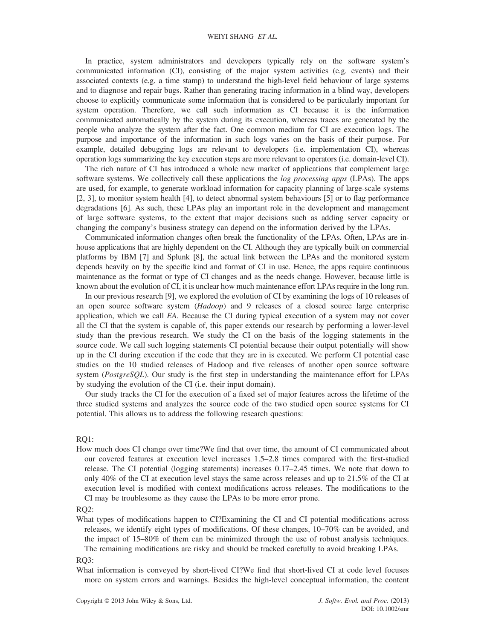In practice, system administrators and developers typically rely on the software system's communicated information (CI), consisting of the major system activities (e.g. events) and their associated contexts (e.g. a time stamp) to understand the high-level field behaviour of large systems and to diagnose and repair bugs. Rather than generating tracing information in a blind way, developers choose to explicitly communicate some information that is considered to be particularly important for system operation. Therefore, we call such information as CI because it is the information communicated automatically by the system during its execution, whereas traces are generated by the people who analyze the system after the fact. One common medium for CI are execution logs. The purpose and importance of the information in such logs varies on the basis of their purpose. For example, detailed debugging logs are relevant to developers (i.e. implementation CI), whereas operation logs summarizing the key execution steps are more relevant to operators (i.e. domain-level CI).

The rich nature of CI has introduced a whole new market of applications that complement large software systems. We collectively call these applications the *log processing apps* (LPAs). The apps are used, for example, to generate workload information for capacity planning of large-scale systems [2, 3], to monitor system health [4], to detect abnormal system behaviours [5] or to flag performance degradations [6]. As such, these LPAs play an important role in the development and management of large software systems, to the extent that major decisions such as adding server capacity or changing the company's business strategy can depend on the information derived by the LPAs.

Communicated information changes often break the functionality of the LPAs. Often, LPAs are inhouse applications that are highly dependent on the CI. Although they are typically built on commercial platforms by IBM [7] and Splunk [8], the actual link between the LPAs and the monitored system depends heavily on by the specific kind and format of CI in use. Hence, the apps require continuous maintenance as the format or type of CI changes and as the needs change. However, because little is known about the evolution of CI, it is unclear how much maintenance effort LPAs require in the long run.

In our previous research [9], we explored the evolution of CI by examining the logs of 10 releases of an open source software system (Hadoop) and 9 releases of a closed source large enterprise application, which we call EA. Because the CI during typical execution of a system may not cover all the CI that the system is capable of, this paper extends our research by performing a lower-level study than the previous research. We study the CI on the basis of the logging statements in the source code. We call such logging statements CI potential because their output potentially will show up in the CI during execution if the code that they are in is executed. We perform CI potential case studies on the 10 studied releases of Hadoop and five releases of another open source software system (PostgreSQL). Our study is the first step in understanding the maintenance effort for LPAs by studying the evolution of the CI (i.e. their input domain).

Our study tracks the CI for the execution of a fixed set of major features across the lifetime of the three studied systems and analyzes the source code of the two studied open source systems for CI potential. This allows us to address the following research questions:

RQ1:

How much does CI change over time?We find that over time, the amount of CI communicated about our covered features at execution level increases 1.5–2.8 times compared with the first-studied release. The CI potential (logging statements) increases 0.17–2.45 times. We note that down to only 40% of the CI at execution level stays the same across releases and up to 21.5% of the CI at execution level is modified with context modifications across releases. The modifications to the CI may be troublesome as they cause the LPAs to be more error prone.

RQ2:

What types of modifications happen to CI?Examining the CI and CI potential modifications across releases, we identify eight types of modifications. Of these changes, 10–70% can be avoided, and the impact of 15–80% of them can be minimized through the use of robust analysis techniques. The remaining modifications are risky and should be tracked carefully to avoid breaking LPAs.

#### RQ3:

What information is conveyed by short-lived CI?We find that short-lived CI at code level focuses more on system errors and warnings. Besides the high-level conceptual information, the content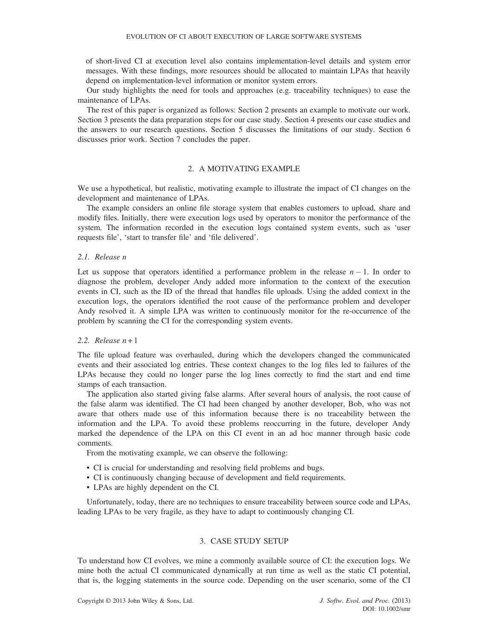of short-lived CI at execution level also contains implementation-level details and system error messages. With these findings, more resources should be allocated to maintain LPAs that heavily depend on implementation-level information or monitor system errors.

Our study highlights the need for tools and approaches (e.g. traceability techniques) to ease the maintenance of LPAs.

The rest of this paper is organized as follows: Section 2 presents an example to motivate our work. Section 3 presents the data preparation steps for our case study. Section 4 presents our case studies and the answers to our research questions. Section 5 discusses the limitations of our study. Section 6 discusses prior work. Section 7 concludes the paper.

# 2. A MOTIVATING EXAMPLE

We use a hypothetical, but realistic, motivating example to illustrate the impact of CI changes on the development and maintenance of LPAs.

The example considers an online file storage system that enables customers to upload, share and modify files. Initially, there were execution logs used by operators to monitor the performance of the system. The information recorded in the execution logs contained system events, such as 'user requests file', 'start to transfer file' and 'file delivered'.

#### 2.1. Release n

Let us suppose that operators identified a performance problem in the release  $n-1$ . In order to diagnose the problem, developer Andy added more information to the context of the execution events in CI, such as the ID of the thread that handles file uploads. Using the added context in the execution logs, the operators identified the root cause of the performance problem and developer Andy resolved it. A simple LPA was written to continuously monitor for the re-occurrence of the problem by scanning the CI for the corresponding system events.

#### 2.2. Release  $n+1$

The file upload feature was overhauled, during which the developers changed the communicated events and their associated log entries. These context changes to the log files led to failures of the LPAs because they could no longer parse the log lines correctly to find the start and end time stamps of each transaction.

The application also started giving false alarms. After several hours of analysis, the root cause of the false alarm was identified. The CI had been changed by another developer, Bob, who was not aware that others made use of this information because there is no traceability between the information and the LPA. To avoid these problems reoccurring in the future, developer Andy marked the dependence of the LPA on this CI event in an ad hoc manner through basic code comments.

From the motivating example, we can observe the following:

- CI is crucial for understanding and resolving field problems and bugs.
- CI is continuously changing because of development and field requirements.
- LPAs are highly dependent on the CI.

Unfortunately, today, there are no techniques to ensure traceability between source code and LPAs, leading LPAs to be very fragile, as they have to adapt to continuously changing CI.

## 3. CASE STUDY SETUP

To understand how CI evolves, we mine a commonly available source of CI: the execution logs. We mine both the actual CI communicated dynamically at run time as well as the static CI potential, that is, the logging statements in the source code. Depending on the user scenario, some of the CI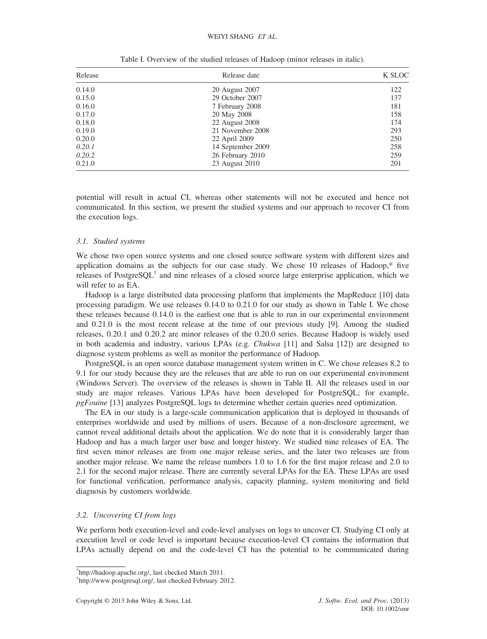| Release | Release date      | K SLOC |
|---------|-------------------|--------|
| 0.14.0  | 20 August 2007    | 122    |
| 0.15.0  | 29 October 2007   | 137    |
| 0.16.0  | 7 February 2008   | 181    |
| 0.17.0  | 20 May 2008       | 158    |
| 0.18.0  | 22 August 2008    | 174    |
| 0.19.0  | 21 November 2008  | 293    |
| 0.20.0  | 22 April 2009     | 250    |
| 0.20.1  | 14 September 2009 | 258    |
| 0.20.2  | 26 February 2010  | 259    |
| 0.21.0  | 23 August 2010    | 201    |

Table I. Overview of the studied releases of Hadoop (minor releases in italic).

potential will result in actual CI, whereas other statements will not be executed and hence not communicated. In this section, we present the studied systems and our approach to recover CI from the execution logs.

#### 3.1. Studied systems

We chose two open source systems and one closed source software system with different sizes and application domains as the subjects for our case study. We chose 10 releases of Hadoop,\* five releases of PostgreSOL<sup>†</sup> and nine releases of a closed source large enterprise application, which we will refer to as EA.

Hadoop is a large distributed data processing platform that implements the MapReduce [10] data processing paradigm. We use releases 0.14.0 to 0.21.0 for our study as shown in Table I. We chose these releases because 0.14.0 is the earliest one that is able to run in our experimental environment and 0.21.0 is the most recent release at the time of our previous study [9]. Among the studied releases, 0.20.1 and 0.20.2 are minor releases of the 0.20.0 series. Because Hadoop is widely used in both academia and industry, various LPAs (e.g. *Chukwa* [11] and Salsa [12]) are designed to diagnose system problems as well as monitor the performance of Hadoop.

PostgreSQL is an open source database management system written in C. We chose releases 8.2 to 9.1 for our study because they are the releases that are able to run on our experimental environment (Windows Server). The overview of the releases is shown in Table II. All the releases used in our study are major releases. Various LPAs have been developed for PostgreSQL; for example, pgFouine [13] analyzes PostgreSQL logs to determine whether certain queries need optimization.

The EA in our study is a large-scale communication application that is deployed in thousands of enterprises worldwide and used by millions of users. Because of a non-disclosure agreement, we cannot reveal additional details about the application. We do note that it is considerably larger than Hadoop and has a much larger user base and longer history. We studied nine releases of EA. The first seven minor releases are from one major release series, and the later two releases are from another major release. We name the release numbers 1.0 to 1.6 for the first major release and 2.0 to 2.1 for the second major release. There are currently several LPAs for the EA. These LPAs are used for functional verification, performance analysis, capacity planning, system monitoring and field diagnosis by customers worldwide.

#### 3.2. Uncovering CI from logs

We perform both execution-level and code-level analyses on logs to uncover CI. Studying CI only at execution level or code level is important because execution-level CI contains the information that LPAs actually depend on and the code-level CI has the potential to be communicated during

<sup>\*</sup> http://hadoop.apache.org/, last checked March 2011.

<sup>†</sup> <http://www.postgresql.org/>, last checked February 2012.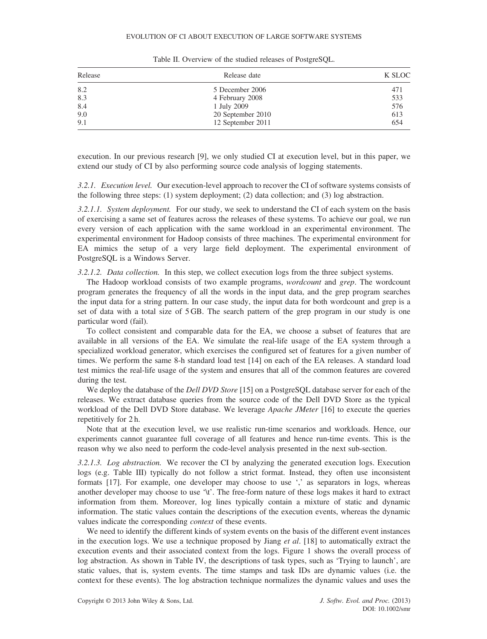#### EVOLUTION OF CI ABOUT EXECUTION OF LARGE SOFTWARE SYSTEMS

| Release | Release date      | K SLOC |
|---------|-------------------|--------|
| 8.2     | 5 December 2006   | 471    |
| 8.3     | 4 February 2008   | 533    |
| 8.4     | 1 July 2009       | 576    |
| 9.0     | 20 September 2010 | 613    |
| 9.1     | 12 September 2011 | 654    |

Table II. Overview of the studied releases of PostgreSOL.

execution. In our previous research [9], we only studied CI at execution level, but in this paper, we extend our study of CI by also performing source code analysis of logging statements.

3.2.1. Execution level. Our execution-level approach to recover the CI of software systems consists of the following three steps: (1) system deployment; (2) data collection; and (3) log abstraction.

3.2.1.1. System deployment. For our study, we seek to understand the CI of each system on the basis of exercising a same set of features across the releases of these systems. To achieve our goal, we run every version of each application with the same workload in an experimental environment. The experimental environment for Hadoop consists of three machines. The experimental environment for EA mimics the setup of a very large field deployment. The experimental environment of PostgreSQL is a Windows Server.

3.2.1.2. Data collection. In this step, we collect execution logs from the three subject systems.

The Hadoop workload consists of two example programs, wordcount and grep. The wordcount program generates the frequency of all the words in the input data, and the grep program searches the input data for a string pattern. In our case study, the input data for both wordcount and grep is a set of data with a total size of 5 GB. The search pattern of the grep program in our study is one particular word (fail).

To collect consistent and comparable data for the EA, we choose a subset of features that are available in all versions of the EA. We simulate the real-life usage of the EA system through a specialized workload generator, which exercises the configured set of features for a given number of times. We perform the same 8-h standard load test [14] on each of the EA releases. A standard load test mimics the real-life usage of the system and ensures that all of the common features are covered during the test.

We deploy the database of the *Dell DVD Store* [15] on a PostgreSQL database server for each of the releases. We extract database queries from the source code of the Dell DVD Store as the typical workload of the Dell DVD Store database. We leverage Apache JMeter [16] to execute the queries repetitively for 2 h.

Note that at the execution level, we use realistic run-time scenarios and workloads. Hence, our experiments cannot guarantee full coverage of all features and hence run-time events. This is the reason why we also need to perform the code-level analysis presented in the next sub-section.

3.2.1.3. Log abstraction. We recover the CI by analyzing the generated execution logs. Execution logs (e.g. Table III) typically do not follow a strict format. Instead, they often use inconsistent formats [17]. For example, one developer may choose to use ',' as separators in logs, whereas another developer may choose to use '\t'. The free-form nature of these logs makes it hard to extract information from them. Moreover, log lines typically contain a mixture of static and dynamic information. The static values contain the descriptions of the execution events, whereas the dynamic values indicate the corresponding context of these events.

We need to identify the different kinds of system events on the basis of the different event instances in the execution logs. We use a technique proposed by Jiang et al. [18] to automatically extract the execution events and their associated context from the logs. Figure 1 shows the overall process of log abstraction. As shown in Table IV, the descriptions of task types, such as 'Trying to launch', are static values, that is, system events. The time stamps and task IDs are dynamic values (i.e. the context for these events). The log abstraction technique normalizes the dynamic values and uses the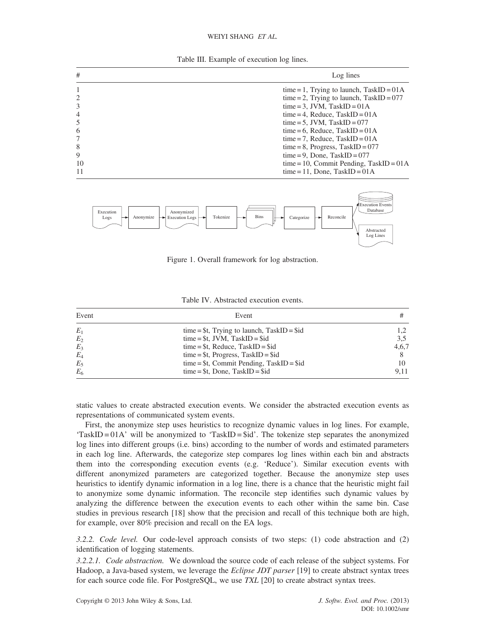Table III. Example of execution log lines.

| #  | Log lines                                  |
|----|--------------------------------------------|
|    | time = 1, Trying to launch, TaskID = $01A$ |
|    | time = 2, Trying to launch, $TaskID = 077$ |
|    | $time = 3$ , JVM, TaskID = 01A             |
|    | time = 4, Reduce, TaskID = $01A$           |
|    | $time = 5$ , JVM, TaskID = 077             |
| 6  | time = 6, Reduce, TaskID = $01A$           |
|    | time = 7, Reduce, TaskID = $01A$           |
| 8  | time = 8, Progress, TaskID = $077$         |
| 9  | time = 9, Done, TaskID = $077$             |
| 10 | time = 10, Commit Pending, TaskID = $01A$  |
|    | time = 11, Done, TaskID = $01A$            |



Figure 1. Overall framework for log abstraction.

| Table IV. Abstracted execution events. |  |
|----------------------------------------|--|
|----------------------------------------|--|

| Event          | Event                                               |       |
|----------------|-----------------------------------------------------|-------|
| $E_1$          | time = $t$ , Trying to launch, TaskID = $\delta$ id | 1.2   |
| E <sub>2</sub> | $time = $t$ , JVM, TaskID = \$id                    | 3,5   |
| $E_3$          | $time = $t$ , Reduce, TaskID = \$id                 | 4,6,7 |
| $E_4$          | $time = $t$ , Progress, TaskID = \$id               |       |
| $E_5$          | $time = $t$ , Commit Pending, TaskID = \$id         | 10    |
| E <sub>6</sub> | $time = $t$ , Done, TaskID = \$id                   | 9.11  |

static values to create abstracted execution events. We consider the abstracted execution events as representations of communicated system events.

First, the anonymize step uses heuristics to recognize dynamic values in log lines. For example, 'TaskID = 01A' will be anonymized to 'TaskID = \$id'. The tokenize step separates the anonymized log lines into different groups (i.e. bins) according to the number of words and estimated parameters in each log line. Afterwards, the categorize step compares log lines within each bin and abstracts them into the corresponding execution events (e.g. 'Reduce'). Similar execution events with different anonymized parameters are categorized together. Because the anonymize step uses heuristics to identify dynamic information in a log line, there is a chance that the heuristic might fail to anonymize some dynamic information. The reconcile step identifies such dynamic values by analyzing the difference between the execution events to each other within the same bin. Case studies in previous research [18] show that the precision and recall of this technique both are high, for example, over 80% precision and recall on the EA logs.

3.2.2. Code level. Our code-level approach consists of two steps: (1) code abstraction and (2) identification of logging statements.

3.2.2.1. Code abstraction. We download the source code of each release of the subject systems. For Hadoop, a Java-based system, we leverage the *Eclipse JDT parser* [19] to create abstract syntax trees for each source code file. For PostgreSQL, we use TXL [20] to create abstract syntax trees.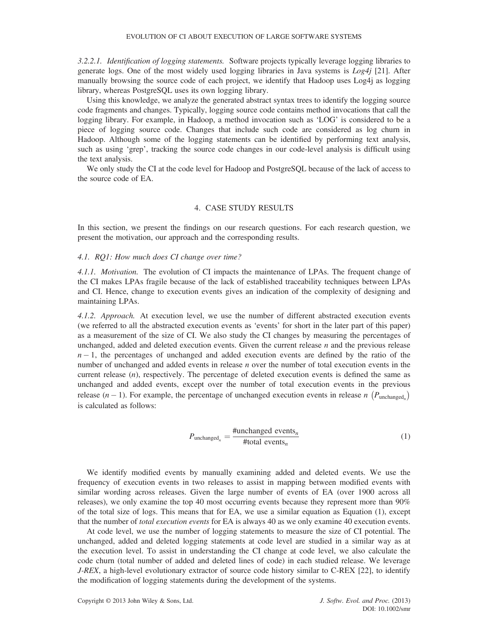3.2.2.1. Identification of logging statements. Software projects typically leverage logging libraries to generate logs. One of the most widely used logging libraries in Java systems is Log4j [21]. After manually browsing the source code of each project, we identify that Hadoop uses Log4j as logging library, whereas PostgreSQL uses its own logging library.

Using this knowledge, we analyze the generated abstract syntax trees to identify the logging source code fragments and changes. Typically, logging source code contains method invocations that call the logging library. For example, in Hadoop, a method invocation such as 'LOG' is considered to be a piece of logging source code. Changes that include such code are considered as log churn in Hadoop. Although some of the logging statements can be identified by performing text analysis, such as using 'grep', tracking the source code changes in our code-level analysis is difficult using the text analysis.

We only study the CI at the code level for Hadoop and PostgreSQL because of the lack of access to the source code of EA.

#### 4. CASE STUDY RESULTS

In this section, we present the findings on our research questions. For each research question, we present the motivation, our approach and the corresponding results.

#### 4.1. RQ1: How much does CI change over time?

4.1.1. Motivation. The evolution of CI impacts the maintenance of LPAs. The frequent change of the CI makes LPAs fragile because of the lack of established traceability techniques between LPAs and CI. Hence, change to execution events gives an indication of the complexity of designing and maintaining LPAs.

4.1.2. Approach. At execution level, we use the number of different abstracted execution events (we referred to all the abstracted execution events as 'events' for short in the later part of this paper) as a measurement of the size of CI. We also study the CI changes by measuring the percentages of unchanged, added and deleted execution events. Given the current release  $n$  and the previous release  $n-1$ , the percentages of unchanged and added execution events are defined by the ratio of the number of unchanged and added events in release  $n$  over the number of total execution events in the current release  $(n)$ , respectively. The percentage of deleted execution events is defined the same as unchanged and added events, except over the number of total execution events in the previous release  $(n - 1)$ . For example, the percentage of unchanged execution events in release  $n \left( P_{unchanged_n} \right)$ is calculated as follows:

$$
P_{unchanged_n} = \frac{\text{\#unchanged events}_n}{\text{\#total events}_n} \tag{1}
$$

We identify modified events by manually examining added and deleted events. We use the frequency of execution events in two releases to assist in mapping between modified events with similar wording across releases. Given the large number of events of EA (over 1900 across all releases), we only examine the top 40 most occurring events because they represent more than 90% of the total size of logs. This means that for EA, we use a similar equation as Equation (1), except that the number of total execution events for EA is always 40 as we only examine 40 execution events.

At code level, we use the number of logging statements to measure the size of CI potential. The unchanged, added and deleted logging statements at code level are studied in a similar way as at the execution level. To assist in understanding the CI change at code level, we also calculate the code churn (total number of added and deleted lines of code) in each studied release. We leverage J-REX, a high-level evolutionary extractor of source code history similar to C-REX [22], to identify the modification of logging statements during the development of the systems.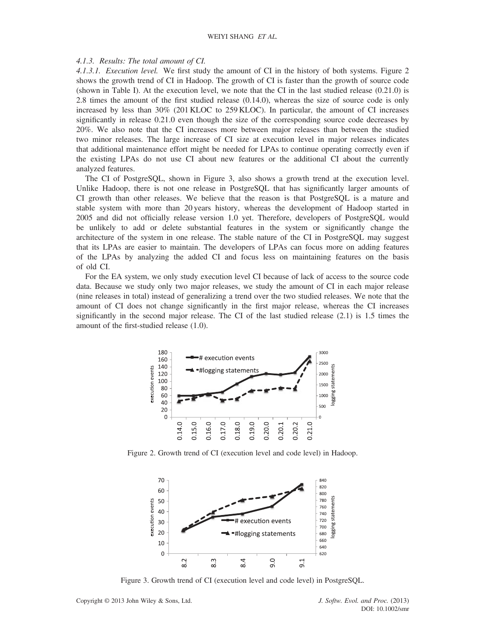#### 4.1.3. Results: The total amount of CI.

4.1.3.1. Execution level. We first study the amount of CI in the history of both systems. Figure 2 shows the growth trend of CI in Hadoop. The growth of CI is faster than the growth of source code (shown in Table I). At the execution level, we note that the CI in the last studied release (0.21.0) is 2.8 times the amount of the first studied release (0.14.0), whereas the size of source code is only increased by less than 30% (201 KLOC to 259 KLOC). In particular, the amount of CI increases significantly in release 0.21.0 even though the size of the corresponding source code decreases by 20%. We also note that the CI increases more between major releases than between the studied two minor releases. The large increase of CI size at execution level in major releases indicates that additional maintenance effort might be needed for LPAs to continue operating correctly even if the existing LPAs do not use CI about new features or the additional CI about the currently analyzed features.

The CI of PostgreSQL, shown in Figure 3, also shows a growth trend at the execution level. Unlike Hadoop, there is not one release in PostgreSQL that has significantly larger amounts of CI growth than other releases. We believe that the reason is that PostgreSQL is a mature and stable system with more than 20 years history, whereas the development of Hadoop started in 2005 and did not officially release version 1.0 yet. Therefore, developers of PostgreSQL would be unlikely to add or delete substantial features in the system or significantly change the architecture of the system in one release. The stable nature of the CI in PostgreSQL may suggest that its LPAs are easier to maintain. The developers of LPAs can focus more on adding features of the LPAs by analyzing the added CI and focus less on maintaining features on the basis of old CI.

For the EA system, we only study execution level CI because of lack of access to the source code data. Because we study only two major releases, we study the amount of CI in each major release (nine releases in total) instead of generalizing a trend over the two studied releases. We note that the amount of CI does not change significantly in the first major release, whereas the CI increases significantly in the second major release. The CI of the last studied release (2.1) is 1.5 times the amount of the first-studied release (1.0).



Figure 2. Growth trend of CI (execution level and code level) in Hadoop.



Figure 3. Growth trend of CI (execution level and code level) in PostgreSQL.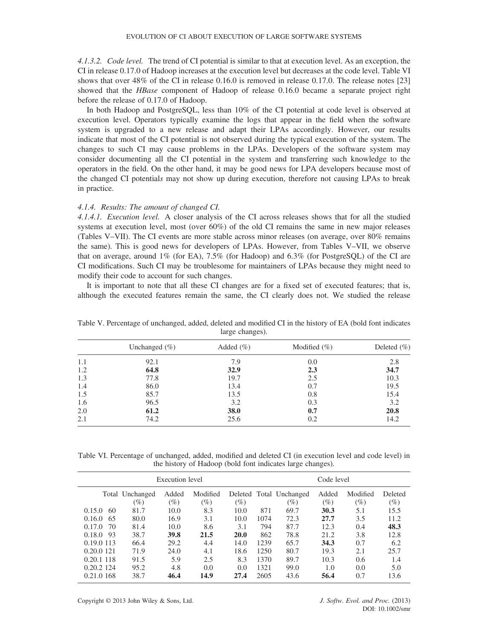4.1.3.2. Code level. The trend of CI potential is similar to that at execution level. As an exception, the CI in release 0.17.0 of Hadoop increases at the execution level but decreases at the code level. Table VI shows that over 48% of the CI in release 0.16.0 is removed in release 0.17.0. The release notes [23] showed that the *HBase* component of Hadoop of release 0.16.0 became a separate project right before the release of 0.17.0 of Hadoop.

In both Hadoop and PostgreSQL, less than 10% of the CI potential at code level is observed at execution level. Operators typically examine the logs that appear in the field when the software system is upgraded to a new release and adapt their LPAs accordingly. However, our results indicate that most of the CI potential is not observed during the typical execution of the system. The changes to such CI may cause problems in the LPAs. Developers of the software system may consider documenting all the CI potential in the system and transferring such knowledge to the operators in the field. On the other hand, it may be good news for LPA developers because most of the changed CI potentials may not show up during execution, therefore not causing LPAs to break in practice.

#### 4.1.4. Results: The amount of changed CI.

4.1.4.1. Execution level. A closer analysis of the CI across releases shows that for all the studied systems at execution level, most (over 60%) of the old CI remains the same in new major releases (Tables V–VII). The CI events are more stable across minor releases (on average, over 80% remains the same). This is good news for developers of LPAs. However, from Tables V–VII, we observe that on average, around 1% (for EA), 7.5% (for Hadoop) and 6.3% (for PostgreSQL) of the CI are CI modifications. Such CI may be troublesome for maintainers of LPAs because they might need to modify their code to account for such changes.

It is important to note that all these CI changes are for a fixed set of executed features; that is, although the executed features remain the same, the CI clearly does not. We studied the release

|     |                   | $\overline{\phantom{0}}$<br>$\sim$ $\sim$ |                  |                 |
|-----|-------------------|-------------------------------------------|------------------|-----------------|
|     | Unchanged $(\% )$ | Added $(\% )$                             | Modified $(\% )$ | Deleted $(\% )$ |
| 1.1 | 92.1              | 7.9                                       | 0.0              | 2.8             |
| 1.2 | 64.8              | 32.9                                      | 2.3              | 34.7            |
| 1.3 | 77.8              | 19.7                                      | 2.5              | 10.3            |
| 1.4 | 86.0              | 13.4                                      | 0.7              | 19.5            |
| 1.5 | 85.7              | 13.5                                      | 0.8              | 15.4            |
| 1.6 | 96.5              | 3.2                                       | 0.3              | 3.2             |
| 2.0 | 61.2              | 38.0                                      | 0.7              | 20.8            |
| 2.1 | 74.2              | 25.6                                      | 0.2              | 14.2            |

Table V. Percentage of unchanged, added, deleted and modified CI in the history of EA (bold font indicates large changes).

Table VI. Percentage of unchanged, added, modified and deleted CI (in execution level and code level) in the history of Hadoop (bold font indicates large changes).

| Execution level |                 |        |          | Code level  |      |                         |        |                 |         |
|-----------------|-----------------|--------|----------|-------------|------|-------------------------|--------|-----------------|---------|
|                 | Total Unchanged | Added  | Modified |             |      | Deleted Total Unchanged | Added  | Modified        | Deleted |
|                 | $(\%)$          | $(\%)$ | $(\%)$   | $(\%)$      |      | $(\%)$                  | $(\%)$ | $\mathscr{G}_o$ | $(\%)$  |
| 0.15.0<br>60    | 81.7            | 10.0   | 8.3      | 10.0        | 871  | 69.7                    | 30.3   | 5.1             | 15.5    |
| 0.16.0<br>65    | 80.0            | 16.9   | 3.1      | 10.0        | 1074 | 72.3                    | 27.7   | 3.5             | 11.2    |
| 0.17.0<br>70    | 81.4            | 10.0   | 8.6      | 3.1         | 794  | 87.7                    | 12.3   | 0.4             | 48.3    |
| 0.18.0<br>93    | 38.7            | 39.8   | 21.5     | <b>20.0</b> | 862  | 78.8                    | 21.2   | 3.8             | 12.8    |
| 0.19.0 113      | 66.4            | 29.2   | 4.4      | 14.0        | 1239 | 65.7                    | 34.3   | 0.7             | 6.2     |
| 0.20.0121       | 71.9            | 24.0   | 4.1      | 18.6        | 1250 | 80.7                    | 19.3   | 2.1             | 25.7    |
| 0.20.1 118      | 91.5            | 5.9    | 2.5      | 8.3         | 1370 | 89.7                    | 10.3   | 0.6             | 1.4     |
| 0.20.2 124      | 95.2            | 4.8    | 0.0      | 0.0         | 1321 | 99.0                    | 1.0    | 0.0             | 5.0     |
| 0.21.0 168      | 38.7            | 46.4   | 14.9     | 27.4        | 2605 | 43.6                    | 56.4   | 0.7             | 13.6    |

Copyright © 2013 John Wiley & Sons, Ltd. J. Softw. Evol. and Proc. (2013)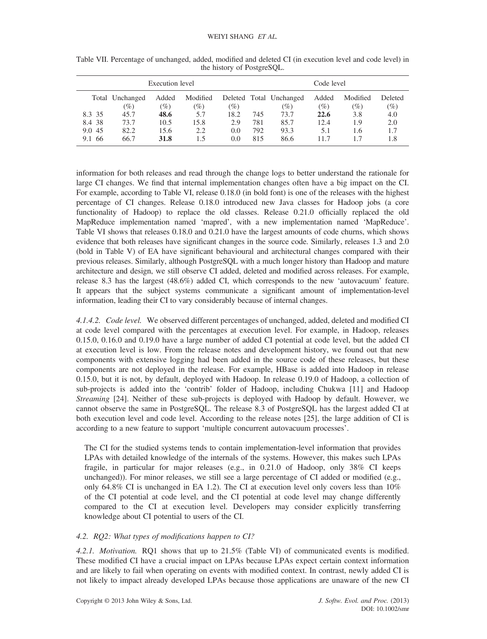| Execution level |                           |                              |                  |                 | Code level |                                   |                              |                    |                   |
|-----------------|---------------------------|------------------------------|------------------|-----------------|------------|-----------------------------------|------------------------------|--------------------|-------------------|
|                 | Total Unchanged<br>$(\%)$ | Added<br>$\left( \% \right)$ | Modified<br>$\%$ | $\mathscr{G}_o$ |            | Deleted Total Unchanged<br>$(\%)$ | Added<br>$\left( \% \right)$ | Modified<br>$(\%)$ | Deleted<br>$(\%)$ |
| 8.3 35          | 45.7                      | 48.6                         | 5.7              | 18.2            | 745        | 73.7                              | 22.6                         | 3.8                | 4.0               |
| 8.4 38          | 73.7                      | 10.5                         | 15.8             | 2.9             | 781        | 85.7                              | 12.4                         | 1.9                | 2.0               |
| 9.0 45          | 82.2                      | 15.6                         | 2.2              | 0.0             | 792        | 93.3                              | 5.1                          | 1.6                | 1.7               |
| -66<br>9.1      | 66.7                      | 31.8                         | 15               | 0.0             | 815        | 86.6                              | 117                          |                    |                   |

Table VII. Percentage of unchanged, added, modified and deleted CI (in execution level and code level) in the history of PostgreSQL.

information for both releases and read through the change logs to better understand the rationale for large CI changes. We find that internal implementation changes often have a big impact on the CI. For example, according to Table VI, release 0.18.0 (in bold font) is one of the releases with the highest percentage of CI changes. Release 0.18.0 introduced new Java classes for Hadoop jobs (a core functionality of Hadoop) to replace the old classes. Release 0.21.0 officially replaced the old MapReduce implementation named 'mapred', with a new implementation named 'MapReduce'. Table VI shows that releases 0.18.0 and 0.21.0 have the largest amounts of code churns, which shows evidence that both releases have significant changes in the source code. Similarly, releases 1.3 and 2.0 (bold in Table V) of EA have significant behavioural and architectural changes compared with their previous releases. Similarly, although PostgreSQL with a much longer history than Hadoop and mature architecture and design, we still observe CI added, deleted and modified across releases. For example, release 8.3 has the largest (48.6%) added CI, which corresponds to the new 'autovacuum' feature. It appears that the subject systems communicate a significant amount of implementation-level information, leading their CI to vary considerably because of internal changes.

4.1.4.2. Code level. We observed different percentages of unchanged, added, deleted and modified CI at code level compared with the percentages at execution level. For example, in Hadoop, releases 0.15.0, 0.16.0 and 0.19.0 have a large number of added CI potential at code level, but the added CI at execution level is low. From the release notes and development history, we found out that new components with extensive logging had been added in the source code of these releases, but these components are not deployed in the release. For example, HBase is added into Hadoop in release 0.15.0, but it is not, by default, deployed with Hadoop. In release 0.19.0 of Hadoop, a collection of sub-projects is added into the 'contrib' folder of Hadoop, including Chukwa [11] and Hadoop Streaming [24]. Neither of these sub-projects is deployed with Hadoop by default. However, we cannot observe the same in PostgreSQL. The release 8.3 of PostgreSQL has the largest added CI at both execution level and code level. According to the release notes [25], the large addition of CI is according to a new feature to support 'multiple concurrent autovacuum processes'.

The CI for the studied systems tends to contain implementation-level information that provides LPAs with detailed knowledge of the internals of the systems. However, this makes such LPAs fragile, in particular for major releases (e.g., in 0.21.0 of Hadoop, only 38% CI keeps unchanged)). For minor releases, we still see a large percentage of CI added or modified (e.g., only 64.8% CI is unchanged in EA 1.2). The CI at execution level only covers less than 10% of the CI potential at code level, and the CI potential at code level may change differently compared to the CI at execution level. Developers may consider explicitly transferring knowledge about CI potential to users of the CI.

#### 4.2. RQ2: What types of modifications happen to CI?

4.2.1. Motivation. RQ1 shows that up to 21.5% (Table VI) of communicated events is modified. These modified CI have a crucial impact on LPAs because LPAs expect certain context information and are likely to fail when operating on events with modified context. In contrast, newly added CI is not likely to impact already developed LPAs because those applications are unaware of the new CI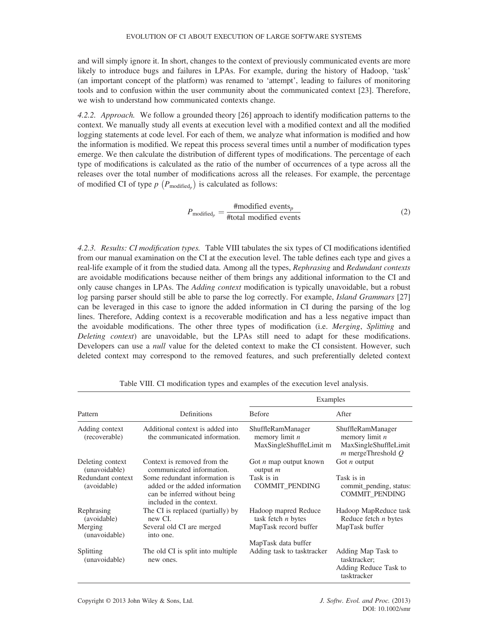and will simply ignore it. In short, changes to the context of previously communicated events are more likely to introduce bugs and failures in LPAs. For example, during the history of Hadoop, 'task' (an important concept of the platform) was renamed to 'attempt', leading to failures of monitoring tools and to confusion within the user community about the communicated context [23]. Therefore, we wish to understand how communicated contexts change.

4.2.2. Approach. We follow a grounded theory [26] approach to identify modification patterns to the context. We manually study all events at execution level with a modified context and all the modified logging statements at code level. For each of them, we analyze what information is modified and how the information is modified. We repeat this process several times until a number of modification types emerge. We then calculate the distribution of different types of modifications. The percentage of each type of modifications is calculated as the ratio of the number of occurrences of a type across all the releases over the total number of modifications across all the releases. For example, the percentage of modified CI of type  $p \left( P_{\text{modified},p} \right)$  is calculated as follows:

$$
P_{\text{modified}_p} = \frac{\text{\#modified events}_p}{\text{\#total modified events}} \tag{2}
$$

4.2.3. Results: CI modification types. Table VIII tabulates the six types of CI modifications identified from our manual examination on the CI at the execution level. The table defines each type and gives a real-life example of it from the studied data. Among all the types, Rephrasing and Redundant contexts are avoidable modifications because neither of them brings any additional information to the CI and only cause changes in LPAs. The *Adding context* modification is typically unavoidable, but a robust log parsing parser should still be able to parse the log correctly. For example, *Island Grammars* [27] can be leveraged in this case to ignore the added information in CI during the parsing of the log lines. Therefore, Adding context is a recoverable modification and has a less negative impact than the avoidable modifications. The other three types of modification (i.e. Merging, Splitting and Deleting context) are unavoidable, but the LPAs still need to adapt for these modifications. Developers can use a null value for the deleted context to make the CI consistent. However, such deleted context may correspond to the removed features, and such preferentially deleted context

|                                   |                                                                                                                              | Examples                                                         |                                                                                          |
|-----------------------------------|------------------------------------------------------------------------------------------------------------------------------|------------------------------------------------------------------|------------------------------------------------------------------------------------------|
| Pattern                           | Definitions                                                                                                                  | <b>Before</b>                                                    | After                                                                                    |
| Adding context<br>(recoverable)   | Additional context is added into<br>the communicated information.                                                            | ShuffleRamManager<br>memory limit $n$<br>MaxSingleShuffleLimit m | ShuffleRamManager<br>memory limit $n$<br>MaxSingleShuffleLimit<br>$m$ mergeThreshold $Q$ |
| Deleting context<br>(unavoidable) | Context is removed from the<br>communicated information.                                                                     | Got $n$ map output known<br>output m                             | Got $n$ output                                                                           |
| Redundant context<br>(avoidable)  | Some redundant information is<br>added or the added information<br>can be inferred without being<br>included in the context. | Task is in<br><b>COMMIT_PENDING</b>                              | Task is in<br>commit pending, status:<br><b>COMMIT PENDING</b>                           |
| Rephrasing<br>(avoidable)         | The CI is replaced (partially) by<br>new CI.                                                                                 | Hadoop mapred Reduce<br>task fetch $n$ bytes                     | Hadoop MapReduce task<br>Reduce fetch <i>n</i> bytes                                     |
| Merging<br>(unavoidable)          | Several old CI are merged<br>into one.                                                                                       | MapTask record buffer                                            | MapTask buffer                                                                           |
|                                   |                                                                                                                              | MapTask data buffer                                              |                                                                                          |
| Splitting<br>(unavoidable)        | The old CI is split into multiple<br>new ones.                                                                               | Adding task to tasktracker                                       | Adding Map Task to<br>tasktracker;<br>Adding Reduce Task to<br>tasktracker               |

Table VIII. CI modification types and examples of the execution level analysis.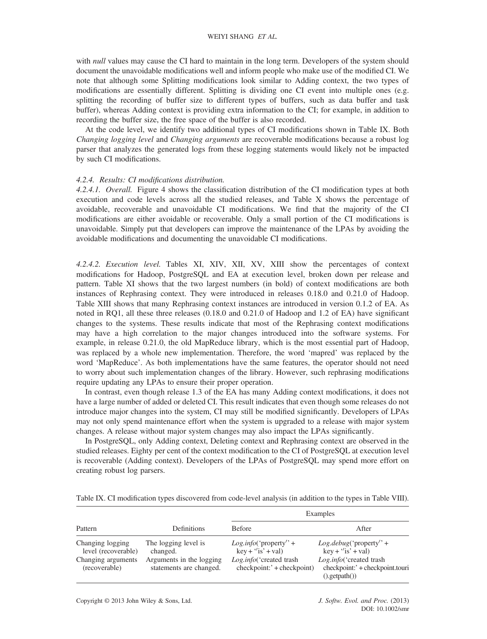with *null* values may cause the CI hard to maintain in the long term. Developers of the system should document the unavoidable modifications well and inform people who make use of the modified CI. We note that although some Splitting modifications look similar to Adding context, the two types of modifications are essentially different. Splitting is dividing one CI event into multiple ones (e.g. splitting the recording of buffer size to different types of buffers, such as data buffer and task buffer), whereas Adding context is providing extra information to the CI; for example, in addition to recording the buffer size, the free space of the buffer is also recorded.

At the code level, we identify two additional types of CI modifications shown in Table IX. Both Changing logging level and Changing arguments are recoverable modifications because a robust log parser that analyzes the generated logs from these logging statements would likely not be impacted by such CI modifications.

#### 4.2.4. Results: CI modifications distribution.

4.2.4.1. Overall. Figure 4 shows the classification distribution of the CI modification types at both execution and code levels across all the studied releases, and Table X shows the percentage of avoidable, recoverable and unavoidable CI modifications. We find that the majority of the CI modifications are either avoidable or recoverable. Only a small portion of the CI modifications is unavoidable. Simply put that developers can improve the maintenance of the LPAs by avoiding the avoidable modifications and documenting the unavoidable CI modifications.

4.2.4.2. Execution level. Tables XI, XIV, XII, XV, XIII show the percentages of context modifications for Hadoop, PostgreSQL and EA at execution level, broken down per release and pattern. Table XI shows that the two largest numbers (in bold) of context modifications are both instances of Rephrasing context. They were introduced in releases 0.18.0 and 0.21.0 of Hadoop. Table XIII shows that many Rephrasing context instances are introduced in version 0.1.2 of EA. As noted in RQ1, all these three releases (0.18.0 and 0.21.0 of Hadoop and 1.2 of EA) have significant changes to the systems. These results indicate that most of the Rephrasing context modifications may have a high correlation to the major changes introduced into the software systems. For example, in release 0.21.0, the old MapReduce library, which is the most essential part of Hadoop, was replaced by a whole new implementation. Therefore, the word 'mapred' was replaced by the word 'MapReduce'. As both implementations have the same features, the operator should not need to worry about such implementation changes of the library. However, such rephrasing modifications require updating any LPAs to ensure their proper operation.

In contrast, even though release 1.3 of the EA has many Adding context modifications, it does not have a large number of added or deleted CI. This result indicates that even though some releases do not introduce major changes into the system, CI may still be modified significantly. Developers of LPAs may not only spend maintenance effort when the system is upgraded to a release with major system changes. A release without major system changes may also impact the LPAs significantly.

In PostgreSQL, only Adding context, Deleting context and Rephrasing context are observed in the studied releases. Eighty per cent of the context modification to the CI of PostgreSQL at execution level is recoverable (Adding context). Developers of the LPAs of PostgreSQL may spend more effort on creating robust log parsers.

Table IX. CI modification types discovered from code-level analysis (in addition to the types in Table VIII).

|                                                                                |                                                                                         |                                                                                                            | Examples                                                                                                                             |
|--------------------------------------------------------------------------------|-----------------------------------------------------------------------------------------|------------------------------------------------------------------------------------------------------------|--------------------------------------------------------------------------------------------------------------------------------------|
| Pattern                                                                        | <b>Definitions</b>                                                                      | <b>Before</b>                                                                                              | After                                                                                                                                |
| Changing logging<br>level (recoverable)<br>Changing arguments<br>(recoverable) | The logging level is<br>changed.<br>Arguments in the logging<br>statements are changed. | $Log.info('property'' +$<br>$key + ''is' + val$<br>Log.info('created trash<br>$checkpoint$ : + checkpoint) | $Log.debug('property' +$<br>$key + 'is' + val)$<br>Log.info('created trash<br>checkpoint:' + checkpoint.touri<br>$($ ).getpath $($ ) |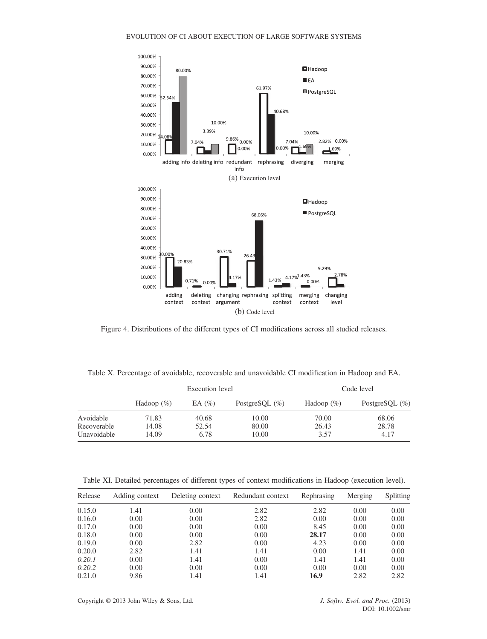

Figure 4. Distributions of the different types of CI modifications across all studied releases.

Table X. Percentage of avoidable, recoverable and unavoidable CI modification in Hadoop and EA.

|             |               | Execution level |                   | Code level    |                   |
|-------------|---------------|-----------------|-------------------|---------------|-------------------|
|             | Hadoop $(\%)$ | EA $(\% )$      | PostgreSQL $(\%)$ | Hadoop $(\%)$ | PostgreSQL $(\%)$ |
| Avoidable   | 71.83         | 40.68           | 10.00             | 70.00         | 68.06             |
| Recoverable | 14.08         | 52.54           | 80.00             | 26.43         | 28.78             |
| Unavoidable | 14.09         | 6.78            | 10.00             | 3.57          | 4.17              |

Table XI. Detailed percentages of different types of context modifications in Hadoop (execution level).

| Release | Adding context | Deleting context | Redundant context | Rephrasing | Merging | Splitting |
|---------|----------------|------------------|-------------------|------------|---------|-----------|
| 0.15.0  | 1.41           | 0.00             | 2.82              | 2.82       | 0.00    | 0.00      |
| 0.16.0  | 0.00           | 0.00             | 2.82              | 0.00       | 0.00    | 0.00      |
| 0.17.0  | 0.00           | 0.00             | 0.00              | 8.45       | 0.00    | 0.00      |
| 0.18.0  | 0.00           | 0.00             | 0.00              | 28.17      | 0.00    | 0.00      |
| 0.19.0  | 0.00           | 2.82             | 0.00              | 4.23       | 0.00    | 0.00      |
| 0.20.0  | 2.82           | 1.41             | 1.41              | 0.00       | 1.41    | 0.00      |
| 0.20.1  | 0.00           | 1.41             | 0.00              | 1.41       | 1.41    | 0.00      |
| 0.20.2  | 0.00           | 0.00             | 0.00              | 0.00       | 0.00    | 0.00      |
| 0.21.0  | 9.86           | 1.41             | 1.41              | 16.9       | 2.82    | 2.82      |

Copyright © 2013 John Wiley & Sons, Ltd. J. Softw. Evol. and Proc. (2013)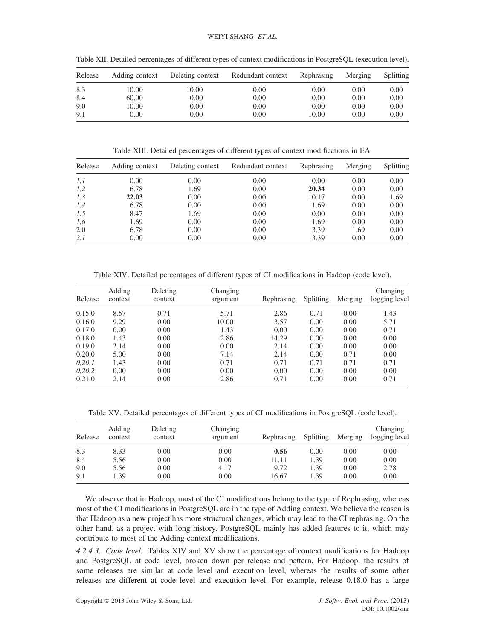| Release | Adding context | Deleting context | Redundant context | Rephrasing | Merging | <b>Splitting</b> |
|---------|----------------|------------------|-------------------|------------|---------|------------------|
| 8.3     | 10.00          | 10.00            | 0.00              | 0.00       | 0.00    | 0.00             |
| 8.4     | 60.00          | 0.00             | 0.00              | 0.00       | 0.00    | 0.00             |
| 9.0     | 10.00          | 0.00             | 0.00              | 0.00       | 0.00    | 0.00             |
| 9.1     | $0.00\,$       | 0.00             | 0.00              | 10.00      | 0.00    | 0.00             |

Table XII. Detailed percentages of different types of context modifications in PostgreSQL (execution level).

Table XIII. Detailed percentages of different types of context modifications in EA.

| Release | Adding context | Deleting context | Redundant context | Rephrasing | Merging | Splitting |
|---------|----------------|------------------|-------------------|------------|---------|-----------|
| 1.1     | 0.00           | 0.00             | 0.00              | 0.00       | 0.00    | 0.00      |
| 1.2     | 6.78           | 1.69             | 0.00              | 20.34      | 0.00    | 0.00      |
| 1.3     | 22.03          | 0.00             | 0.00              | 10.17      | 0.00    | 1.69      |
| 1.4     | 6.78           | 0.00             | 0.00              | 1.69       | 0.00    | 0.00      |
| 1.5     | 8.47           | 1.69             | 0.00              | 0.00       | 0.00    | 0.00      |
| 1.6     | 1.69           | 0.00             | 0.00              | 1.69       | 0.00    | 0.00      |
| 2.0     | 6.78           | 0.00             | 0.00              | 3.39       | 1.69    | 0.00      |
| 2.1     | 0.00           | 0.00             | 0.00              | 3.39       | 0.00    | 0.00      |

Table XIV. Detailed percentages of different types of CI modifications in Hadoop (code level).

| Release | Adding<br>context | Deleting<br>context | Changing<br>argument | Rephrasing | Splitting | Merging | Changing<br>logging level |
|---------|-------------------|---------------------|----------------------|------------|-----------|---------|---------------------------|
| 0.15.0  | 8.57              | 0.71                | 5.71                 | 2.86       | 0.71      | 0.00    | 1.43                      |
| 0.16.0  | 9.29              | 0.00                | 10.00                | 3.57       | 0.00      | 0.00    | 5.71                      |
| 0.17.0  | 0.00              | 0.00                | 1.43                 | 0.00       | 0.00      | 0.00    | 0.71                      |
| 0.18.0  | 1.43              | 0.00                | 2.86                 | 14.29      | 0.00      | 0.00    | 0.00                      |
| 0.19.0  | 2.14              | 0.00                | 0.00                 | 2.14       | 0.00      | 0.00    | 0.00                      |
| 0.20.0  | 5.00              | 0.00                | 7.14                 | 2.14       | 0.00      | 0.71    | 0.00                      |
| 0.20.1  | 1.43              | 0.00                | 0.71                 | 0.71       | 0.71      | 0.71    | 0.71                      |
| 0.20.2  | 0.00              | 0.00                | 0.00                 | 0.00       | 0.00      | 0.00    | 0.00                      |
| 0.21.0  | 2.14              | 0.00                | 2.86                 | 0.71       | 0.00      | 0.00    | 0.71                      |

Table XV. Detailed percentages of different types of CI modifications in PostgreSQL (code level).

| Release | Adding<br>context | Deleting<br>context | Changing<br>argument | Rephrasing | Splitting | Merging | Changing<br>logging level |
|---------|-------------------|---------------------|----------------------|------------|-----------|---------|---------------------------|
| 8.3     | 8.33              | $0.00\,$            | 0.00                 | 0.56       | 0.00      | 0.00    | 0.00                      |
| 8.4     | 5.56              | $0.00\,$            | 0.00                 | 11.11      | 1.39      | 0.00    | 0.00                      |
| 9.0     | 5.56              | $0.00\,$            | 4.17                 | 9.72       | 1.39      | 0.00    | 2.78                      |
| 9.1     | 1.39              | $0.00\,$            | 0.00                 | 16.67      | 1.39      | 0.00    | 0.00                      |

We observe that in Hadoop, most of the CI modifications belong to the type of Rephrasing, whereas most of the CI modifications in PostgreSQL are in the type of Adding context. We believe the reason is that Hadoop as a new project has more structural changes, which may lead to the CI rephrasing. On the other hand, as a project with long history, PostgreSQL mainly has added features to it, which may contribute to most of the Adding context modifications.

4.2.4.3. Code level. Tables XIV and XV show the percentage of context modifications for Hadoop and PostgreSQL at code level, broken down per release and pattern. For Hadoop, the results of some releases are similar at code level and execution level, whereas the results of some other releases are different at code level and execution level. For example, release 0.18.0 has a large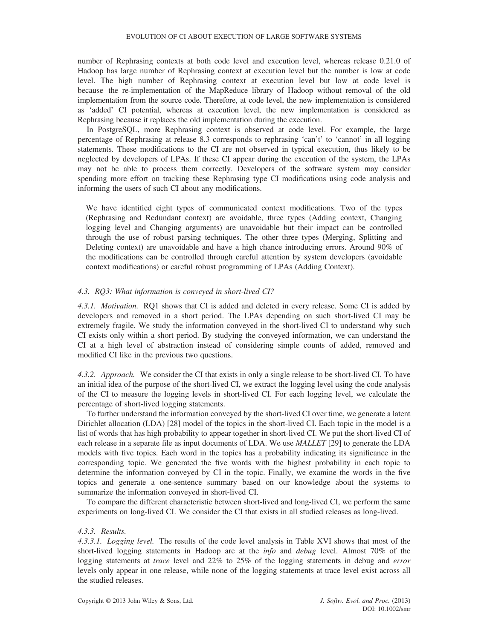number of Rephrasing contexts at both code level and execution level, whereas release 0.21.0 of Hadoop has large number of Rephrasing context at execution level but the number is low at code level. The high number of Rephrasing context at execution level but low at code level is because the re-implementation of the MapReduce library of Hadoop without removal of the old implementation from the source code. Therefore, at code level, the new implementation is considered as 'added' CI potential, whereas at execution level, the new implementation is considered as Rephrasing because it replaces the old implementation during the execution.

In PostgreSQL, more Rephrasing context is observed at code level. For example, the large percentage of Rephrasing at release 8.3 corresponds to rephrasing 'can't' to 'cannot' in all logging statements. These modifications to the CI are not observed in typical execution, thus likely to be neglected by developers of LPAs. If these CI appear during the execution of the system, the LPAs may not be able to process them correctly. Developers of the software system may consider spending more effort on tracking these Rephrasing type CI modifications using code analysis and informing the users of such CI about any modifications.

We have identified eight types of communicated context modifications. Two of the types (Rephrasing and Redundant context) are avoidable, three types (Adding context, Changing logging level and Changing arguments) are unavoidable but their impact can be controlled through the use of robust parsing techniques. The other three types (Merging, Splitting and Deleting context) are unavoidable and have a high chance introducing errors. Around 90% of the modifications can be controlled through careful attention by system developers (avoidable context modifications) or careful robust programming of LPAs (Adding Context).

#### 4.3. RQ3: What information is conveyed in short-lived CI?

4.3.1. Motivation. RQ1 shows that CI is added and deleted in every release. Some CI is added by developers and removed in a short period. The LPAs depending on such short-lived CI may be extremely fragile. We study the information conveyed in the short-lived CI to understand why such CI exists only within a short period. By studying the conveyed information, we can understand the CI at a high level of abstraction instead of considering simple counts of added, removed and modified CI like in the previous two questions.

4.3.2. Approach. We consider the CI that exists in only a single release to be short-lived CI. To have an initial idea of the purpose of the short-lived CI, we extract the logging level using the code analysis of the CI to measure the logging levels in short-lived CI. For each logging level, we calculate the percentage of short-lived logging statements.

To further understand the information conveyed by the short-lived CI over time, we generate a latent Dirichlet allocation (LDA) [28] model of the topics in the short-lived CI. Each topic in the model is a list of words that has high probability to appear together in short-lived CI. We put the short-lived CI of each release in a separate file as input documents of LDA. We use MALLET [29] to generate the LDA models with five topics. Each word in the topics has a probability indicating its significance in the corresponding topic. We generated the five words with the highest probability in each topic to determine the information conveyed by CI in the topic. Finally, we examine the words in the five topics and generate a one-sentence summary based on our knowledge about the systems to summarize the information conveyed in short-lived CI.

To compare the different characteristic between short-lived and long-lived CI, we perform the same experiments on long-lived CI. We consider the CI that exists in all studied releases as long-lived.

#### 4.3.3. Results.

4.3.3.1. Logging level. The results of the code level analysis in Table XVI shows that most of the short-lived logging statements in Hadoop are at the info and debug level. Almost 70% of the logging statements at trace level and 22% to 25% of the logging statements in debug and error levels only appear in one release, while none of the logging statements at trace level exist across all the studied releases.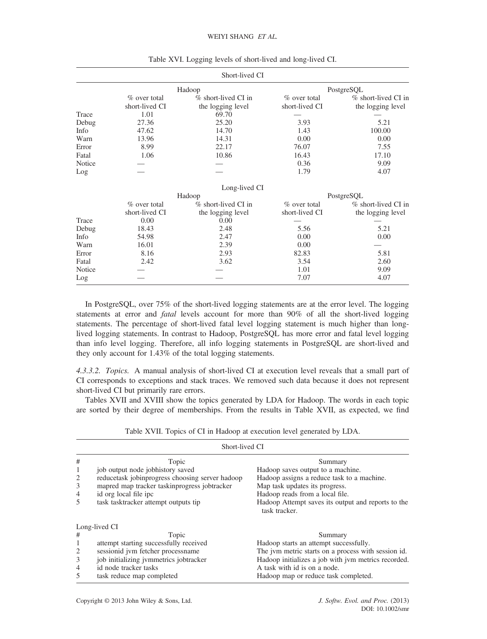|        |                 | Short-lived CI      |                 |                     |  |
|--------|-----------------|---------------------|-----------------|---------------------|--|
|        |                 | Hadoop              |                 | PostgreSQL          |  |
|        | $\%$ over total | % short-lived CI in | % over total    | % short-lived CI in |  |
|        | short-lived CI  | the logging level   | short-lived CI  | the logging level   |  |
| Trace  | 1.01            | 69.70               |                 |                     |  |
| Debug  | 27.36           | 25.20               | 3.93            | 5.21                |  |
| Info   | 47.62           | 14.70               | 1.43            | 100.00              |  |
| Warn   | 13.96           | 14.31               | 0.00            | 0.00                |  |
| Error  | 8.99            | 22.17               | 76.07           | 7.55                |  |
| Fatal  | 1.06            | 10.86               | 16.43           | 17.10               |  |
| Notice |                 |                     | 0.36            | 9.09                |  |
| Log    |                 |                     | 1.79            | 4.07                |  |
|        |                 | Long-lived CI       |                 |                     |  |
|        |                 | Hadoop              |                 | PostgreSQL          |  |
|        | $\%$ over total | % short-lived CI in | $\%$ over total | % short-lived CI in |  |
|        | short-lived CI  | the logging level   | short-lived CI  | the logging level   |  |
| Trace  | 0.00            | 0.00                |                 |                     |  |
| Debug  | 18.43           | 2.48                | 5.56            | 5.21                |  |
| Info   | 54.98           | 2.47                | 0.00            | 0.00                |  |
| Warn   | 16.01           | 2.39                | 0.00            |                     |  |
| Error  | 8.16            | 2.93                | 82.83           | 5.81                |  |
| Fatal  | 2.42            | 3.62                | 3.54            | 2.60                |  |
| Notice |                 |                     | 1.01            | 9.09                |  |
| Log    |                 |                     | 7.07            | 4.07                |  |

In PostgreSQL, over 75% of the short-lived logging statements are at the error level. The logging statements at error and fatal levels account for more than 90% of all the short-lived logging statements. The percentage of short-lived fatal level logging statement is much higher than longlived logging statements. In contrast to Hadoop, PostgreSQL has more error and fatal level logging than info level logging. Therefore, all info logging statements in PostgreSQL are short-lived and they only account for 1.43% of the total logging statements.

4.3.3.2. Topics. A manual analysis of short-lived CI at execution level reveals that a small part of CI corresponds to exceptions and stack traces. We removed such data because it does not represent short-lived CI but primarily rare errors.

Tables XVII and XVIII show the topics generated by LDA for Hadoop. The words in each topic are sorted by their degree of memberships. From the results in Table XVII, as expected, we find

|  |  |  | Table XVII. Topics of CI in Hadoop at execution level generated by LDA. |  |  |
|--|--|--|-------------------------------------------------------------------------|--|--|
|--|--|--|-------------------------------------------------------------------------|--|--|

|                | Short-lived CI                                  |                                                                     |  |  |  |  |
|----------------|-------------------------------------------------|---------------------------------------------------------------------|--|--|--|--|
| #              | Topic                                           | Summary                                                             |  |  |  |  |
| 1              | job output node jobhistory saved                | Hadoop saves output to a machine.                                   |  |  |  |  |
| $\overline{2}$ | reducetask jobinprogress choosing server hadoop | Hadoop assigns a reduce task to a machine.                          |  |  |  |  |
| 3              | mapred map tracker taskinprogress jobtracker    | Map task updates its progress.                                      |  |  |  |  |
| $\overline{4}$ | id org local file ipc                           | Hadoop reads from a local file.                                     |  |  |  |  |
| 5              | task tasktracker attempt outputs tip            | Hadoop Attempt saves its output and reports to the<br>task tracker. |  |  |  |  |
|                | Long-lived CI                                   |                                                                     |  |  |  |  |
| #              | Topic                                           | Summary                                                             |  |  |  |  |
| 1              | attempt starting successfully received          | Hadoop starts an attempt successfully.                              |  |  |  |  |
| 2              | sessionid jvm fetcher processname               | The jvm metric starts on a process with session id.                 |  |  |  |  |
| 3              | job initializing jymmetrics jobtracker          | Hadoop initializes a job with jvm metrics recorded.                 |  |  |  |  |
| $\overline{4}$ | id node tracker tasks                           | A task with id is on a node.                                        |  |  |  |  |
| 5              | task reduce map completed                       | Hadoop map or reduce task completed.                                |  |  |  |  |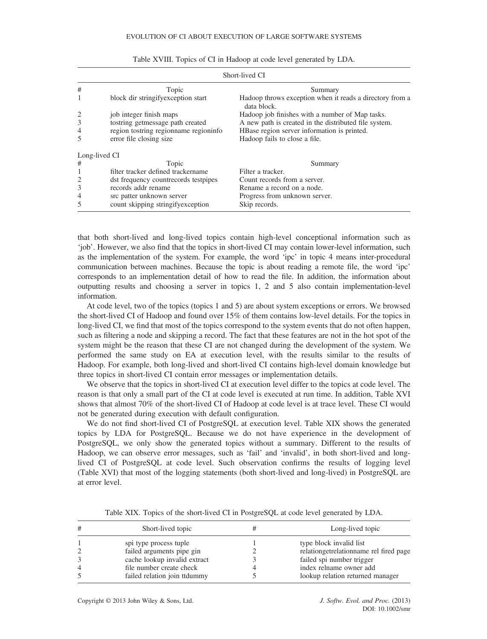|   |                                        | Short-lived CI                                                          |
|---|----------------------------------------|-------------------------------------------------------------------------|
| # | Topic                                  | Summary                                                                 |
|   | block dir stringify exception start    | Hadoop throws exception when it reads a directory from a<br>data block. |
|   | job integer finish maps                | Hadoop job finishes with a number of Map tasks.                         |
|   | tostring getmessage path created       | A new path is created in the distributed file system.                   |
| 4 | region to string regionname regioninfo | HBase region server information is printed.                             |
|   | error file closing size                | Hadoop fails to close a file.                                           |
|   | Long-lived CI                          |                                                                         |
| # | Topic                                  | Summary                                                                 |
|   | filter tracker defined trackername     | Filter a tracker.                                                       |
|   | dst frequency countrecords testpipes   | Count records from a server.                                            |
| 3 | records addr rename                    | Rename a record on a node.                                              |
| 4 | src patter unknown server              | Progress from unknown server.                                           |
|   | count skipping stringify exception     | Skip records.                                                           |

Table XVIII. Topics of CI in Hadoop at code level generated by LDA.

that both short-lived and long-lived topics contain high-level conceptional information such as 'job'. However, we also find that the topics in short-lived CI may contain lower-level information, such as the implementation of the system. For example, the word 'ipc' in topic 4 means inter-procedural communication between machines. Because the topic is about reading a remote file, the word 'ipc' corresponds to an implementation detail of how to read the file. In addition, the information about outputting results and choosing a server in topics 1, 2 and 5 also contain implementation-level information.

At code level, two of the topics (topics 1 and 5) are about system exceptions or errors. We browsed the short-lived CI of Hadoop and found over 15% of them contains low-level details. For the topics in long-lived CI, we find that most of the topics correspond to the system events that do not often happen, such as filtering a node and skipping a record. The fact that these features are not in the hot spot of the system might be the reason that these CI are not changed during the development of the system. We performed the same study on EA at execution level, with the results similar to the results of Hadoop. For example, both long-lived and short-lived CI contains high-level domain knowledge but three topics in short-lived CI contain error messages or implementation details.

We observe that the topics in short-lived CI at execution level differ to the topics at code level. The reason is that only a small part of the CI at code level is executed at run time. In addition, Table XVI shows that almost 70% of the short-lived CI of Hadoop at code level is at trace level. These CI would not be generated during execution with default configuration.

We do not find short-lived CI of PostgreSQL at execution level. Table XIX shows the generated topics by LDA for PostgreSQL. Because we do not have experience in the development of PostgreSQL, we only show the generated topics without a summary. Different to the results of Hadoop, we can observe error messages, such as 'fail' and 'invalid', in both short-lived and longlived CI of PostgreSQL at code level. Such observation confirms the results of logging level (Table XVI) that most of the logging statements (both short-lived and long-lived) in PostgreSQL are at error level.

| #              | Short-lived topic            | Long-lived topic                       |
|----------------|------------------------------|----------------------------------------|
|                | spi type process tuple       | type block invalid list                |
|                | failed arguments pipe gin    | relationgetrelationname rel fired page |
|                | cache lookup invalid extract | failed spi number trigger              |
| $\overline{4}$ | file number create check     | index relname owner add                |
|                | failed relation join ttdummy | lookup relation returned manager       |

Table XIX. Topics of the short-lived CI in PostgreSQL at code level generated by LDA.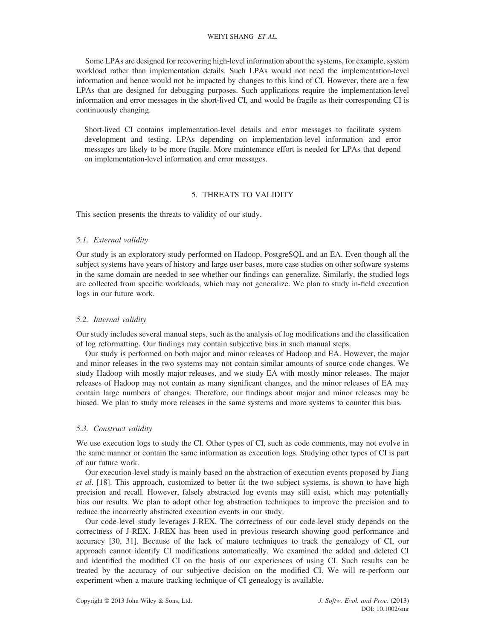Some LPAs are designed for recovering high-level information about the systems, for example, system workload rather than implementation details. Such LPAs would not need the implementation-level information and hence would not be impacted by changes to this kind of CI. However, there are a few LPAs that are designed for debugging purposes. Such applications require the implementation-level information and error messages in the short-lived CI, and would be fragile as their corresponding CI is continuously changing.

Short-lived CI contains implementation-level details and error messages to facilitate system development and testing. LPAs depending on implementation-level information and error messages are likely to be more fragile. More maintenance effort is needed for LPAs that depend on implementation-level information and error messages.

#### 5. THREATS TO VALIDITY

This section presents the threats to validity of our study.

#### 5.1. External validity

Our study is an exploratory study performed on Hadoop, PostgreSQL and an EA. Even though all the subject systems have years of history and large user bases, more case studies on other software systems in the same domain are needed to see whether our findings can generalize. Similarly, the studied logs are collected from specific workloads, which may not generalize. We plan to study in-field execution logs in our future work.

# 5.2. Internal validity

Our study includes several manual steps, such as the analysis of log modifications and the classification of log reformatting. Our findings may contain subjective bias in such manual steps.

Our study is performed on both major and minor releases of Hadoop and EA. However, the major and minor releases in the two systems may not contain similar amounts of source code changes. We study Hadoop with mostly major releases, and we study EA with mostly minor releases. The major releases of Hadoop may not contain as many significant changes, and the minor releases of EA may contain large numbers of changes. Therefore, our findings about major and minor releases may be biased. We plan to study more releases in the same systems and more systems to counter this bias.

#### 5.3. Construct validity

We use execution logs to study the CI. Other types of CI, such as code comments, may not evolve in the same manner or contain the same information as execution logs. Studying other types of CI is part of our future work.

Our execution-level study is mainly based on the abstraction of execution events proposed by Jiang et al. [18]. This approach, customized to better fit the two subject systems, is shown to have high precision and recall. However, falsely abstracted log events may still exist, which may potentially bias our results. We plan to adopt other log abstraction techniques to improve the precision and to reduce the incorrectly abstracted execution events in our study.

Our code-level study leverages J-REX. The correctness of our code-level study depends on the correctness of J-REX. J-REX has been used in previous research showing good performance and accuracy [30, 31]. Because of the lack of mature techniques to track the genealogy of CI, our approach cannot identify CI modifications automatically. We examined the added and deleted CI and identified the modified CI on the basis of our experiences of using CI. Such results can be treated by the accuracy of our subjective decision on the modified CI. We will re-perform our experiment when a mature tracking technique of CI genealogy is available.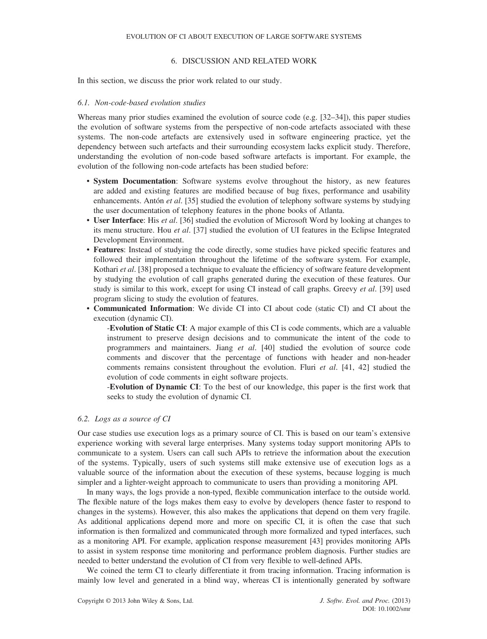#### EVOLUTION OF CI ABOUT EXECUTION OF LARGE SOFTWARE SYSTEMS

#### 6. DISCUSSION AND RELATED WORK

In this section, we discuss the prior work related to our study.

#### 6.1. Non-code-based evolution studies

Whereas many prior studies examined the evolution of source code (e.g. [32–34]), this paper studies the evolution of software systems from the perspective of non-code artefacts associated with these systems. The non-code artefacts are extensively used in software engineering practice, yet the dependency between such artefacts and their surrounding ecosystem lacks explicit study. Therefore, understanding the evolution of non-code based software artefacts is important. For example, the evolution of the following non-code artefacts has been studied before:

- System Documentation: Software systems evolve throughout the history, as new features are added and existing features are modified because of bug fixes, performance and usability enhancements. Antón et al. [35] studied the evolution of telephony software systems by studying the user documentation of telephony features in the phone books of Atlanta.
- User Interface: His et al. [36] studied the evolution of Microsoft Word by looking at changes to its menu structure. Hou et al. [37] studied the evolution of UI features in the Eclipse Integrated Development Environment.
- Features: Instead of studying the code directly, some studies have picked specific features and followed their implementation throughout the lifetime of the software system. For example, Kothari et al. [38] proposed a technique to evaluate the efficiency of software feature development by studying the evolution of call graphs generated during the execution of these features. Our study is similar to this work, except for using CI instead of call graphs. Greevy et al. [39] used program slicing to study the evolution of features.
- Communicated Information: We divide CI into CI about code (static CI) and CI about the execution (dynamic CI).

-Evolution of Static CI: A major example of this CI is code comments, which are a valuable instrument to preserve design decisions and to communicate the intent of the code to programmers and maintainers. Jiang et al. [40] studied the evolution of source code comments and discover that the percentage of functions with header and non-header comments remains consistent throughout the evolution. Fluri et al.  $[41, 42]$  studied the evolution of code comments in eight software projects.

-Evolution of Dynamic CI: To the best of our knowledge, this paper is the first work that seeks to study the evolution of dynamic CI.

#### 6.2. Logs as a source of CI

Our case studies use execution logs as a primary source of CI. This is based on our team's extensive experience working with several large enterprises. Many systems today support monitoring APIs to communicate to a system. Users can call such APIs to retrieve the information about the execution of the systems. Typically, users of such systems still make extensive use of execution logs as a valuable source of the information about the execution of these systems, because logging is much simpler and a lighter-weight approach to communicate to users than providing a monitoring API.

In many ways, the logs provide a non-typed, flexible communication interface to the outside world. The flexible nature of the logs makes them easy to evolve by developers (hence faster to respond to changes in the systems). However, this also makes the applications that depend on them very fragile. As additional applications depend more and more on specific CI, it is often the case that such information is then formalized and communicated through more formalized and typed interfaces, such as a monitoring API. For example, application response measurement [43] provides monitoring APIs to assist in system response time monitoring and performance problem diagnosis. Further studies are needed to better understand the evolution of CI from very flexible to well-defined APIs.

We coined the term CI to clearly differentiate it from tracing information. Tracing information is mainly low level and generated in a blind way, whereas CI is intentionally generated by software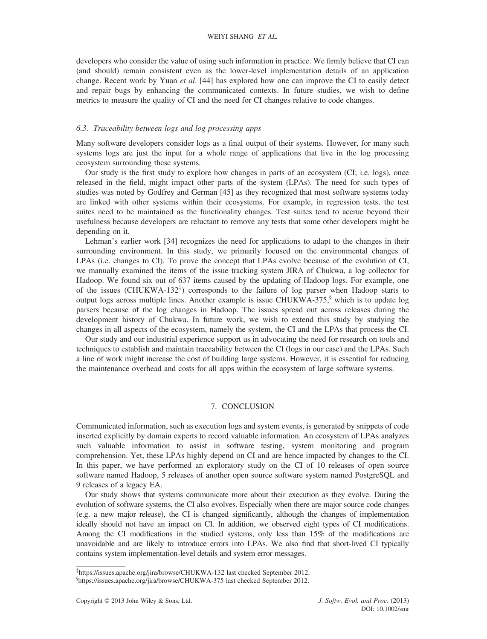developers who consider the value of using such information in practice. We firmly believe that CI can (and should) remain consistent even as the lower-level implementation details of an application change. Recent work by Yuan *et al.* [44] has explored how one can improve the CI to easily detect and repair bugs by enhancing the communicated contexts. In future studies, we wish to define metrics to measure the quality of CI and the need for CI changes relative to code changes.

#### 6.3. Traceability between logs and log processing apps

Many software developers consider logs as a final output of their systems. However, for many such systems logs are just the input for a whole range of applications that live in the log processing ecosystem surrounding these systems.

Our study is the first study to explore how changes in parts of an ecosystem (CI; i.e. logs), once released in the field, might impact other parts of the system (LPAs). The need for such types of studies was noted by Godfrey and German [45] as they recognized that most software systems today are linked with other systems within their ecosystems. For example, in regression tests, the test suites need to be maintained as the functionality changes. Test suites tend to accrue beyond their usefulness because developers are reluctant to remove any tests that some other developers might be depending on it.

Lehman's earlier work [34] recognizes the need for applications to adapt to the changes in their surrounding environment. In this study, we primarily focused on the environmental changes of LPAs (i.e. changes to CI). To prove the concept that LPAs evolve because of the evolution of CI, we manually examined the items of the issue tracking system JIRA of Chukwa, a log collector for Hadoop. We found six out of 637 items caused by the updating of Hadoop logs. For example, one of the issues (CHUKWA-132<sup> $\ddagger$ </sup>) corresponds to the failure of log parser when Hadoop starts to output logs across multiple lines. Another example is issue CHUKWA-375, $\frac{8}{3}$  which is to update log parsers because of the log changes in Hadoop. The issues spread out across releases during the development history of Chukwa. In future work, we wish to extend this study by studying the changes in all aspects of the ecosystem, namely the system, the CI and the LPAs that process the CI.

Our study and our industrial experience support us in advocating the need for research on tools and techniques to establish and maintain traceability between the CI (logs in our case) and the LPAs. Such a line of work might increase the cost of building large systems. However, it is essential for reducing the maintenance overhead and costs for all apps within the ecosystem of large software systems.

#### 7. CONCLUSION

Communicated information, such as execution logs and system events, is generated by snippets of code inserted explicitly by domain experts to record valuable information. An ecosystem of LPAs analyzes such valuable information to assist in software testing, system monitoring and program comprehension. Yet, these LPAs highly depend on CI and are hence impacted by changes to the CI. In this paper, we have performed an exploratory study on the CI of 10 releases of open source software named Hadoop, 5 releases of another open source software system named PostgreSQL and 9 releases of a legacy EA.

Our study shows that systems communicate more about their execution as they evolve. During the evolution of software systems, the CI also evolves. Especially when there are major source code changes (e.g. a new major release), the CI is changed significantly, although the changes of implementation ideally should not have an impact on CI. In addition, we observed eight types of CI modifications. Among the CI modifications in the studied systems, only less than 15% of the modifications are unavoidable and are likely to introduce errors into LPAs. We also find that short-lived CI typically contains system implementation-level details and system error messages.

<sup>{</sup> https://issues.apache.org/jira/browse/CHUKWA-132 last checked September 2012. } <https://issues.apache.org/jira/browse/CHUKWA-375> last checked September 2012.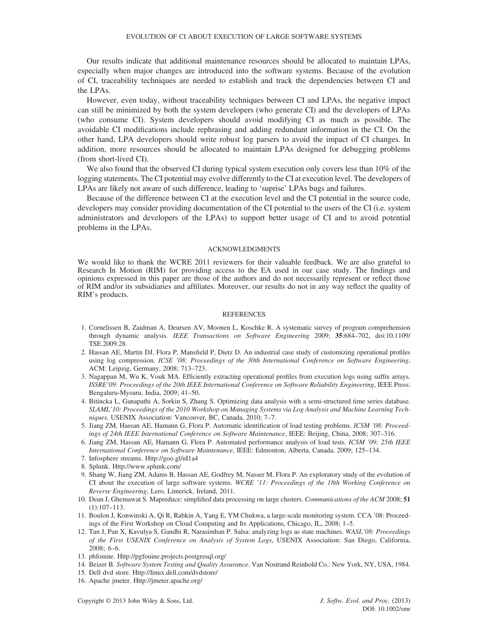Our results indicate that additional maintenance resources should be allocated to maintain LPAs, especially when major changes are introduced into the software systems. Because of the evolution of CI, traceability techniques are needed to establish and track the dependencies between CI and the LPAs.

However, even today, without traceability techniques between CI and LPAs, the negative impact can still be minimized by both the system developers (who generate CI) and the developers of LPAs (who consume CI). System developers should avoid modifying CI as much as possible. The avoidable CI modifications include rephrasing and adding redundant information in the CI. On the other hand, LPA developers should write robust log parsers to avoid the impact of CI changes. In addition, more resources should be allocated to maintain LPAs designed for debugging problems (from short-lived CI).

We also found that the observed CI during typical system execution only covers less than  $10\%$  of the logging statements. The CI potential may evolve differently to the CI at execution level. The developers of LPAs are likely not aware of such difference, leading to 'suprise' LPAs bugs and failures.

Because of the difference between CI at the execution level and the CI potential in the source code, developers may consider providing documentation of the CI potential to the users of the CI (i.e. system administrators and developers of the LPAs) to support better usage of CI and to avoid potential problems in the LPAs.

#### ACKNOWLEDGMENTS

We would like to thank the WCRE 2011 reviewers for their valuable feedback. We are also grateful to Research In Motion (RIM) for providing access to the EA used in our case study. The findings and opinions expressed in this paper are those of the authors and do not necessarily represent or reflect those of RIM and/or its subsidiaries and affiliates. Moreover, our results do not in any way reflect the quality of RIM's products.

#### REFERENCES

- 1. Cornelissen B, Zaidman A, Deursen AV, Moonen L, Koschke R. A systematic survey of program comprehension through dynamic analysis. IEEE Transactions on Software Engineering 2009; 35:684–702, doi:10.1109/ TSE.2009.28.
- 2. Hassan AE, Martin DJ, Flora P, Mansfield P, Dietz D. An industrial case study of customizing operational profiles using log compression. ICSE '08: Proceedings of the 30th International Conference on Software Engineering, ACM: Leipzig, Germany, 2008; 713–723.
- 3. Nagappan M, Wu K, Vouk MA. Efficiently extracting operational profiles from execution logs using suffix arrays. ISSRE'09: Proceedings of the 20th IEEE International Conference on Software Reliability Engineering, IEEE Press: Bengaluru-Mysuru, India, 2009; 41–50.
- 4. Bitincka L, Ganapathi A, Sorkin S, Zhang S. Optimizing data analysis with a semi-structured time series database. SLAML'10: Proceedings of the 2010 Workshop on Managing Systems via Log Analysis and Machine Learning Techniques, USENIX Association: Vancouver, BC, Canada, 2010; 7–7.
- 5. Jiang ZM, Hassan AE, Hamann G, Flora P. Automatic identification of load testing problems. ICSM '08: Proceedings of 24th IEEE International Conference on Software Maintenance, IEEE: Beijing, China, 2008; 307–316.
- 6. Jiang ZM, Hassan AE, Hamann G, Flora P. Automated performance analysis of load tests. ICSM '09: 25th IEEE International Conference on Software Maintenance, IEEE: Edmonton, Alberta, Canada, 2009; 125–134.
- 7. Infosphere streams.<Http://goo.gl/nI1a4>
- 8. Splunk. Http://www.splunk.com/
- 9. Shang W, Jiang ZM, Adams B, Hassan AE, Godfrey M, Nasser M, Flora P. An exploratory study of the evolution of CI about the execution of large software systems. WCRE '11: Proceedings of the 18th Working Conference on Reverse Engineering, Lero, Limerick, Ireland, 2011.
- 10. Dean J, Ghemawat S. Mapreduce: simplified data processing on large clusters. Communications of the ACM 2008; 51  $(1):107-113.$
- 11. Boulon J, Konwinski A, Qi R, Rabkin A, Yang E, YM Chukwa, a large-scale monitoring system. CCA '08: Proceedings of the First Workshop on Cloud Computing and Its Applications, Chicago, IL, 2008; 1–5.
- 12. Tan J, Pan X, Kavulya S, Gandhi R, Narasimhan P. Salsa: analyzing logs as state machines. WASL'08: Proceedings of the First USENIX Conference on Analysis of System Logs, USENIX Association: San Diego, California, 2008; 6–6.
- 13. phfouine.<Http://pgfouine.projects.postgresql.org/>
- 14. Beizer B. Software System Testing and Quality Assurance. Van Nostrand Reinhold Co.: New York, NY, USA, 1984.
- 15. Dell dvd store.<Http://linux.dell.com/dvdstore/>
- 16. Apache jmeter.<Http://jmeter.apache.org/>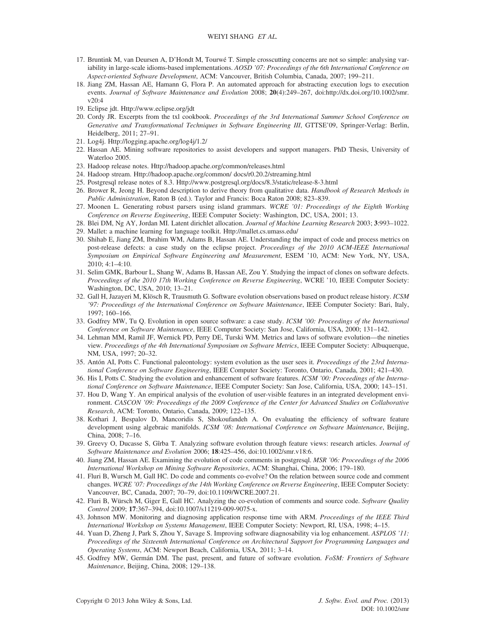- 17. Bruntink M, van Deursen A, D'Hondt M, Tourwé T. Simple crosscutting concerns are not so simple: analysing variability in large-scale idioms-based implementations. AOSD '07: Proceedings of the 6th International Conference on Aspect-oriented Software Development, ACM: Vancouver, British Columbia, Canada, 2007; 199–211.
- 18. Jiang ZM, Hassan AE, Hamann G, Flora P. An automated approach for abstracting execution logs to execution events. Journal of Software Maintenance and Evolution 2008; 20(4):249–267, doi:http://dx.doi.org/10.1002/smr.  $v20.4$
- 19. Eclipse jdt. Http://www.eclipse.org/jdt
- 20. Cordy JR. Excerpts from the txl cookbook. Proceedings of the 3rd International Summer School Conference on Generative and Transformational Techniques in Software Engineering III, GTTSE'09, Springer-Verlag: Berlin, Heidelberg, 2011; 27–91.
- 21. Log4j.<Http://logging.apache.org/log4j/1.2/>
- 22. Hassan AE. Mining software repositories to assist developers and support managers. PhD Thesis, University of Waterloo 2005.
- 23. Hadoop release notes.<Http://hadoop.apache.org/common/releases.html>
- 24. Hadoop stream. Http://hadoop.apache.org/common/ docs/r0.20.2/streaming.html
- 25. Postgresql release notes of 8.3.<Http://www.postgresql.org/docs/8.3/static/release-8-3.html>
- 26. Brower R, Jeong H. Beyond description to derive theory from qualitative data. Handbook of Research Methods in Public Administration, Raton B (ed.). Taylor and Francis: Boca Raton 2008; 823–839.
- 27. Moonen L. Generating robust parsers using island grammars. WCRE '01: Proceedings of the Eighth Working Conference on Reverse Engineering, IEEE Computer Society: Washington, DC, USA, 2001; 13.
- 28. Blei DM, Ng AY, Jordan MI. Latent dirichlet allocation. Journal of Machine Learning Research 2003; 3:993–1022.
- 29. Mallet: a machine learning for language toolkit.<Http://mallet.cs.umass.edu/>
- 30. Shihab E, Jiang ZM, Ibrahim WM, Adams B, Hassan AE. Understanding the impact of code and process metrics on post-release defects: a case study on the eclipse project. Proceedings of the 2010 ACM-IEEE International Symposium on Empirical Software Engineering and Measurement, ESEM '10, ACM: New York, NY, USA, 2010; 4:1–4:10.
- 31. Selim GMK, Barbour L, Shang W, Adams B, Hassan AE, Zou Y. Studying the impact of clones on software defects. Proceedings of the 2010 17th Working Conference on Reverse Engineering, WCRE '10, IEEE Computer Society: Washington, DC, USA, 2010; 13–21.
- 32. Gall H, Jazayeri M, Klösch R, Trausmuth G. Software evolution observations based on product release history. ICSM '97: Proceedings of the International Conference on Software Maintenance, IEEE Computer Society: Bari, Italy, 1997; 160–166.
- 33. Godfrey MW, Tu Q. Evolution in open source software: a case study. ICSM '00: Proceedings of the International Conference on Software Maintenance, IEEE Computer Society: San Jose, California, USA, 2000; 131–142.
- 34. Lehman MM, Ramil JF, Wernick PD, Perry DE, Turski WM. Metrics and laws of software evolution—the nineties view. Proceedings of the 4th International Symposium on Software Metrics, IEEE Computer Society: Albuquerque, NM, USA, 1997; 20–32.
- 35. Antón AI, Potts C. Functional paleontology: system evolution as the user sees it. Proceedings of the 23rd International Conference on Software Engineering, IEEE Computer Society: Toronto, Ontario, Canada, 2001; 421–430.
- 36. His I, Potts C. Studying the evolution and enhancement of software features. ICSM '00: Proceedings of the International Conference on Software Maintenance, IEEE Computer Society: San Jose, California, USA, 2000; 143–151.
- 37. Hou D, Wang Y. An empirical analysis of the evolution of user-visible features in an integrated development environment. CASCON '09: Proceedings of the 2009 Conference of the Center for Advanced Studies on Collaborative Research, ACM: Toronto, Ontario, Canada, 2009; 122–135.
- 38. Kothari J, Bespalov D, Mancoridis S, Shokoufandeh A. On evaluating the efficiency of software feature development using algebraic manifolds. ICSM '08: International Conference on Software Maintenance, Beijing, China, 2008; 7–16.
- 39. Greevy O, Ducasse S, Gîrba T. Analyzing software evolution through feature views: research articles. Journal of Software Maintenance and Evolution 2006; 18:425–456, doi:10.1002/smr.v18:6.
- 40. Jiang ZM, Hassan AE. Examining the evolution of code comments in postgresql. MSR '06: Proceedings of the 2006 International Workshop on Mining Software Repositories, ACM: Shanghai, China, 2006; 179–180.
- 41. Fluri B, Wursch M, Gall HC. Do code and comments co-evolve? On the relation between source code and comment changes. WCRE '07: Proceedings of the 14th Working Conference on Reverse Engineering, IEEE Computer Society: Vancouver, BC, Canada, 2007; 70–79, doi:10.1109/WCRE.2007.21.
- 42. Fluri B, Würsch M, Giger E, Gall HC. Analyzing the co-evolution of comments and source code. Software Quality Control 2009; 17:367–394, doi:10.1007/s11219-009-9075-x.
- 43. Johnson MW. Monitoring and diagnosing application response time with ARM. Proceedings of the IEEE Third International Workshop on Systems Management, IEEE Computer Society: Newport, RI, USA, 1998; 4–15.
- 44. Yuan D, Zheng J, Park S, Zhou Y, Savage S. Improving software diagnosability via log enhancement. ASPLOS '11: Proceedings of the Sixteenth International Conference on Architectural Support for Programming Languages and Operating Systems, ACM: Newport Beach, California, USA, 2011; 3–14.
- 45. Godfrey MW, Germán DM. The past, present, and future of software evolution. FoSM: Frontiers of Software Maintenance, Beijing, China, 2008; 129–138.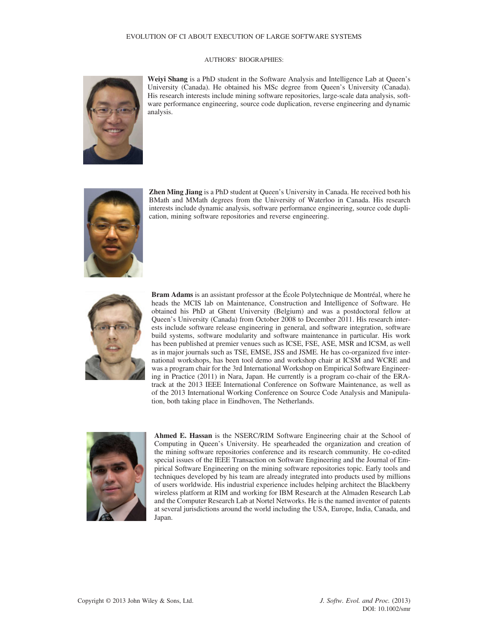#### EVOLUTION OF CI ABOUT EXECUTION OF LARGE SOFTWARE SYSTEMS

#### AUTHORS' BIOGRAPHIES:



Weivi Shang is a PhD student in the Software Analysis and Intelligence Lab at Oueen's University (Canada). He obtained his MSc degree from Queen's University (Canada). His research interests include mining software repositories, large-scale data analysis, software performance engineering, source code duplication, reverse engineering and dynamic analysis.



Zhen Ming Jiang is a PhD student at Queen's University in Canada. He received both his BMath and MMath degrees from the University of Waterloo in Canada. His research interests include dynamic analysis, software performance engineering, source code duplication, mining software repositories and reverse engineering.



Bram Adams is an assistant professor at the École Polytechnique de Montréal, where he heads the MCIS lab on Maintenance, Construction and Intelligence of Software. He obtained his PhD at Ghent University (Belgium) and was a postdoctoral fellow at Queen's University (Canada) from October 2008 to December 2011. His research interests include software release engineering in general, and software integration, software build systems, software modularity and software maintenance in particular. His work has been published at premier venues such as ICSE, FSE, ASE, MSR and ICSM, as well as in major journals such as TSE, EMSE, JSS and JSME. He has co-organized five international workshops, has been tool demo and workshop chair at ICSM and WCRE and was a program chair for the 3rd International Workshop on Empirical Software Engineering in Practice (2011) in Nara, Japan. He currently is a program co-chair of the ERAtrack at the 2013 IEEE International Conference on Software Maintenance, as well as of the 2013 International Working Conference on Source Code Analysis and Manipulation, both taking place in Eindhoven, The Netherlands.



Ahmed E. Hassan is the NSERC/RIM Software Engineering chair at the School of Computing in Queen's University. He spearheaded the organization and creation of the mining software repositories conference and its research community. He co-edited special issues of the IEEE Transaction on Software Engineering and the Journal of Empirical Software Engineering on the mining software repositories topic. Early tools and techniques developed by his team are already integrated into products used by millions of users worldwide. His industrial experience includes helping architect the Blackberry wireless platform at RIM and working for IBM Research at the Almaden Research Lab and the Computer Research Lab at Nortel Networks. He is the named inventor of patents at several jurisdictions around the world including the USA, Europe, India, Canada, and Japan.